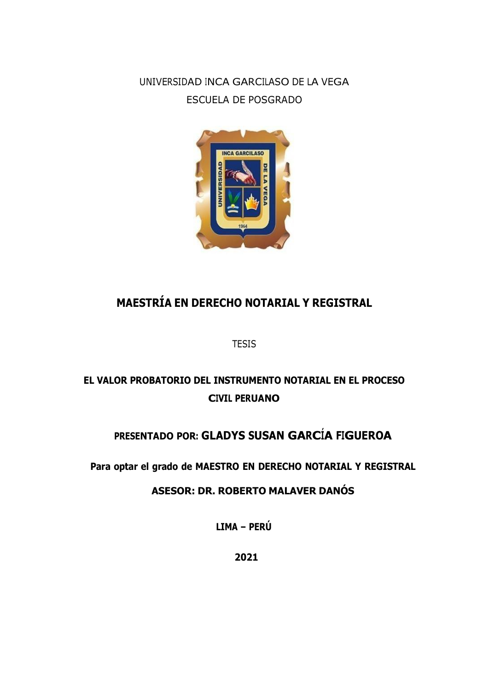UNIVERSIDAD INCA GARCILASO DE LA VEGA ESCUELA DE POSGRADO



# **MAESTRÍA EN DERECHO NOTARIAL Y REGISTRAL**

**TESIS** 

## **EL VALOR PROBATORIO DEL INSTRUMENTO NOTARIAL EN EL PROCESO CIVIL PERUANO**

### **PRESENTADO POR: GLADYS SUSAN GARCÍA FIGUEROA**

**Para optar el grado de MAESTRO EN DERECHO NOTARIAL Y REGISTRAL**

**ASESOR: DR. ROBERTO MALAVER DANÓS**

**LIMA – PERÚ**

**2021**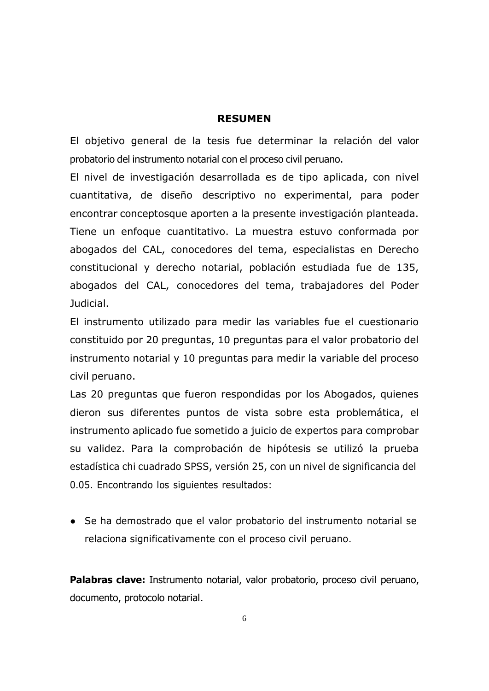#### **RESUMEN**

El objetivo general de la tesis fue determinar la relación del valor probatorio del instrumento notarial con el proceso civil peruano.

El nivel de investigación desarrollada es de tipo aplicada, con nivel cuantitativa, de diseño descriptivo no experimental, para poder encontrar conceptosque aporten a la presente investigación planteada. Tiene un enfoque cuantitativo. La muestra estuvo conformada por abogados del CAL, conocedores del tema, especialistas en Derecho constitucional y derecho notarial, población estudiada fue de 135, abogados del CAL, conocedores del tema, trabajadores del Poder Judicial.

El instrumento utilizado para medir las variables fue el cuestionario constituido por 20 preguntas, 10 preguntas para el valor probatorio del instrumento notarial y 10 preguntas para medir la variable del proceso civil peruano.

Las 20 preguntas que fueron respondidas por los Abogados, quienes dieron sus diferentes puntos de vista sobre esta problemática, el instrumento aplicado fue sometido a juicio de expertos para comprobar su validez. Para la comprobación de hipótesis se utilizó la prueba estadística chi cuadrado SPSS, versión 25, con un nivel de significancia del 0.05. Encontrando los siguientes resultados:

● Se ha demostrado que el valor probatorio del instrumento notarial se relaciona significativamente con el proceso civil peruano.

**Palabras clave:** Instrumento notarial, valor probatorio, proceso civil peruano, documento, protocolo notarial.